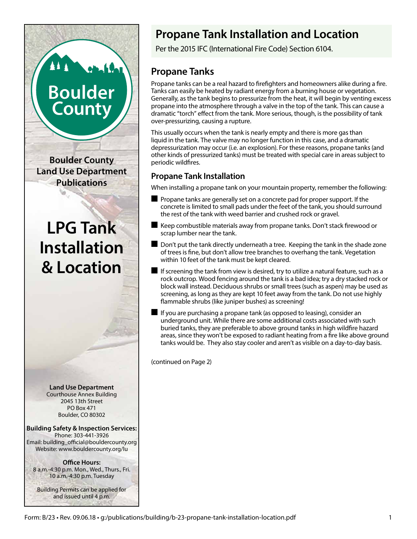# **Boulder County**

**Boulder County Land Use Department Publications**

## **LPG Tank Installation & Location**

**Land Use Department** Courthouse Annex Building 2045 13th Street PO Box 471 Boulder, CO 80302

**Building Safety & Inspection Services:** Phone: 303-441-3926 Email: building\_official@bouldercounty.org Website: www.bouldercounty.org/lu

**Office Hours:** 8 a.m.-4:30 p.m. Mon., Wed., Thurs., Fri. 10 a.m.-4:30 p.m. Tuesday

Building Permits can be applied for and issued until 4 p.m.

### **Propane Tank Installation and Location**

Per the 2015 IFC (International Fire Code) Section 6104.

#### **Propane Tanks**

Propane tanks can be a real hazard to firefighters and homeowners alike during a fire. Tanks can easily be heated by radiant energy from a burning house or vegetation. Generally, as the tank begins to pressurize from the heat, it will begin by venting excess propane into the atmosphere through a valve in the top of the tank. This can cause a dramatic "torch" effect from the tank. More serious, though, is the possibility of tank over-pressurizing, causing a rupture.

This usually occurs when the tank is nearly empty and there is more gas than liquid in the tank. The valve may no longer function in this case, and a dramatic depressurization may occur (i.e. an explosion). For these reasons, propane tanks (and other kinds of pressurized tanks) must be treated with special care in areas subject to periodic wildfires.

#### **Propane Tank Installation**

When installing a propane tank on your mountain property, remember the following:

- $\blacksquare$  Propane tanks are generally set on a concrete pad for proper support. If the concrete is limited to small pads under the feet of the tank, you should surround the rest of the tank with weed barrier and crushed rock or gravel.
- $\blacksquare$  Keep combustible materials away from propane tanks. Don't stack firewood or scrap lumber near the tank.
- Don't put the tank directly underneath a tree. Keeping the tank in the shade zone of trees is fine, but don't allow tree branches to overhang the tank. Vegetation within 10 feet of the tank must be kept cleared.
- $\blacksquare$  If screening the tank from view is desired, try to utilize a natural feature, such as a rock outcrop. Wood fencing around the tank is a bad idea; try a dry stacked rock or block wall instead. Deciduous shrubs or small trees (such as aspen) may be used as screening, as long as they are kept 10 feet away from the tank. Do not use highly flammable shrubs (like juniper bushes) as screening!
- $\blacksquare$  If you are purchasing a propane tank (as opposed to leasing), consider an underground unit. While there are some additional costs associated with such buried tanks, they are preferable to above ground tanks in high wildfire hazard areas, since they won't be exposed to radiant heating from a fire like above ground tanks would be. They also stay cooler and aren't as visible on a day-to-day basis.

(continued on Page 2)